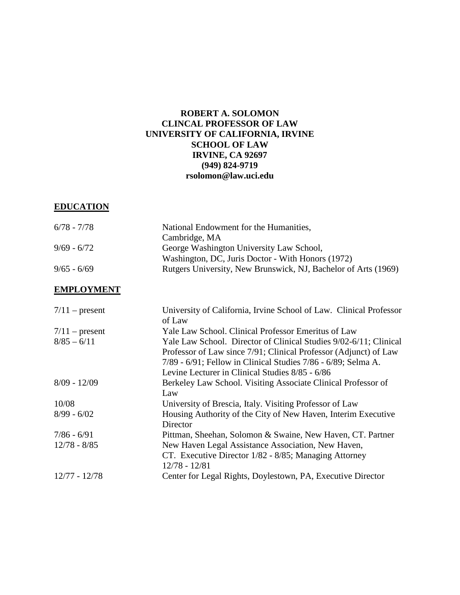## **ROBERT A. SOLOMON CLINCAL PROFESSOR OF LAW UNIVERSITY OF CALIFORNIA, IRVINE SCHOOL OF LAW IRVINE, CA 92697 (949) 824-9719 rsolomon@law.uci.edu**

## **EDUCATION**

| 6/78 - 7/78   | National Endowment for the Humanities,                         |
|---------------|----------------------------------------------------------------|
|               | Cambridge, MA                                                  |
| $9/69 - 6/72$ | George Washington University Law School,                       |
|               | Washington, DC, Juris Doctor - With Honors (1972)              |
| $9/65 - 6/69$ | Rutgers University, New Brunswick, NJ, Bachelor of Arts (1969) |

#### **EMPLOYMENT**

| $7/11$ – present | University of California, Irvine School of Law. Clinical Professor<br>of Law |
|------------------|------------------------------------------------------------------------------|
| $7/11$ – present | Yale Law School. Clinical Professor Emeritus of Law                          |
| $8/85 - 6/11$    | Yale Law School. Director of Clinical Studies 9/02-6/11; Clinical            |
|                  | Professor of Law since 7/91; Clinical Professor (Adjunct) of Law             |
|                  | 7/89 - 6/91; Fellow in Clinical Studies 7/86 - 6/89; Selma A.                |
|                  | Levine Lecturer in Clinical Studies 8/85 - 6/86                              |
| $8/09 - 12/09$   | Berkeley Law School. Visiting Associate Clinical Professor of                |
|                  | Law                                                                          |
| 10/08            | University of Brescia, Italy. Visiting Professor of Law                      |
| $8/99 - 6/02$    | Housing Authority of the City of New Haven, Interim Executive                |
|                  | Director                                                                     |
| $7/86 - 6/91$    | Pittman, Sheehan, Solomon & Swaine, New Haven, CT. Partner                   |
| $12/78 - 8/85$   | New Haven Legal Assistance Association, New Haven,                           |
|                  | CT. Executive Director 1/82 - 8/85; Managing Attorney                        |
|                  | $12/78 - 12/81$                                                              |
| $12/77 - 12/78$  | Center for Legal Rights, Doylestown, PA, Executive Director                  |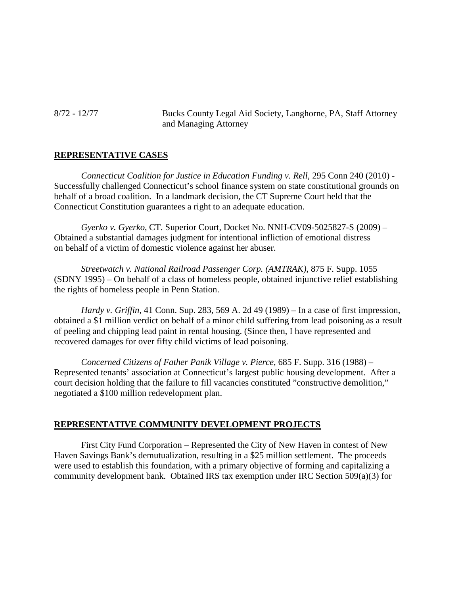8/72 - 12/77 Bucks County Legal Aid Society, Langhorne, PA, Staff Attorney and Managing Attorney

## **REPRESENTATIVE CASES**

*Connecticut Coalition for Justice in Education Funding v. Rell,* 295 Conn 240 (2010) - Successfully challenged Connecticut's school finance system on state constitutional grounds on behalf of a broad coalition. In a landmark decision, the CT Supreme Court held that the Connecticut Constitution guarantees a right to an adequate education.

*Gyerko v. Gyerko*, CT. Superior Court, Docket No. NNH-CV09-5025827-S (2009) – Obtained a substantial damages judgment for intentional infliction of emotional distress on behalf of a victim of domestic violence against her abuser.

*Streetwatch v. National Railroad Passenger Corp. (AMTRAK)*, 875 F. Supp. 1055 (SDNY 1995) – On behalf of a class of homeless people, obtained injunctive relief establishing the rights of homeless people in Penn Station.

*Hardy v. Griffin*, 41 Conn. Sup. 283, 569 A. 2d 49 (1989) – In a case of first impression, obtained a \$1 million verdict on behalf of a minor child suffering from lead poisoning as a result of peeling and chipping lead paint in rental housing. (Since then, I have represented and recovered damages for over fifty child victims of lead poisoning.

*Concerned Citizens of Father Panik Village v. Pierce*, 685 F. Supp. 316 (1988) – Represented tenants' association at Connecticut's largest public housing development. After a court decision holding that the failure to fill vacancies constituted "constructive demolition," negotiated a \$100 million redevelopment plan.

#### **REPRESENTATIVE COMMUNITY DEVELOPMENT PROJECTS**

First City Fund Corporation – Represented the City of New Haven in contest of New Haven Savings Bank's demutualization, resulting in a \$25 million settlement. The proceeds were used to establish this foundation, with a primary objective of forming and capitalizing a community development bank. Obtained IRS tax exemption under IRC Section 509(a)(3) for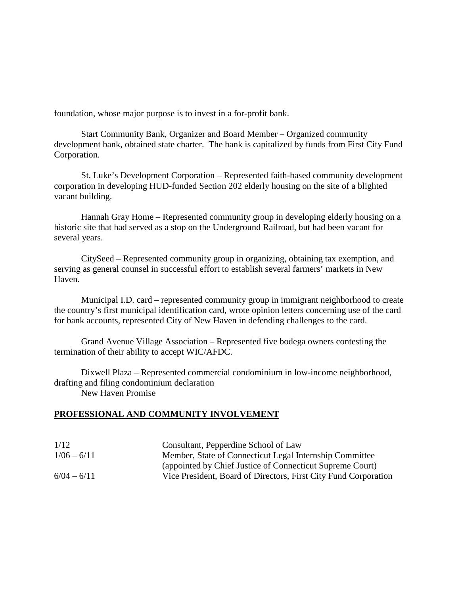foundation, whose major purpose is to invest in a for-profit bank.

Start Community Bank, Organizer and Board Member – Organized community development bank, obtained state charter. The bank is capitalized by funds from First City Fund Corporation.

St. Luke's Development Corporation – Represented faith-based community development corporation in developing HUD-funded Section 202 elderly housing on the site of a blighted vacant building.

Hannah Gray Home – Represented community group in developing elderly housing on a historic site that had served as a stop on the Underground Railroad, but had been vacant for several years.

CitySeed – Represented community group in organizing, obtaining tax exemption, and serving as general counsel in successful effort to establish several farmers' markets in New Haven.

Municipal I.D. card – represented community group in immigrant neighborhood to create the country's first municipal identification card, wrote opinion letters concerning use of the card for bank accounts, represented City of New Haven in defending challenges to the card.

Grand Avenue Village Association – Represented five bodega owners contesting the termination of their ability to accept WIC/AFDC.

Dixwell Plaza – Represented commercial condominium in low-income neighborhood, drafting and filing condominium declaration New Haven Promise

#### **PROFESSIONAL AND COMMUNITY INVOLVEMENT**

| 1/12          | Consultant, Pepperdine School of Law                            |
|---------------|-----------------------------------------------------------------|
| $1/06 - 6/11$ | Member, State of Connecticut Legal Internship Committee         |
|               | (appointed by Chief Justice of Connecticut Supreme Court)       |
| $6/04 - 6/11$ | Vice President, Board of Directors, First City Fund Corporation |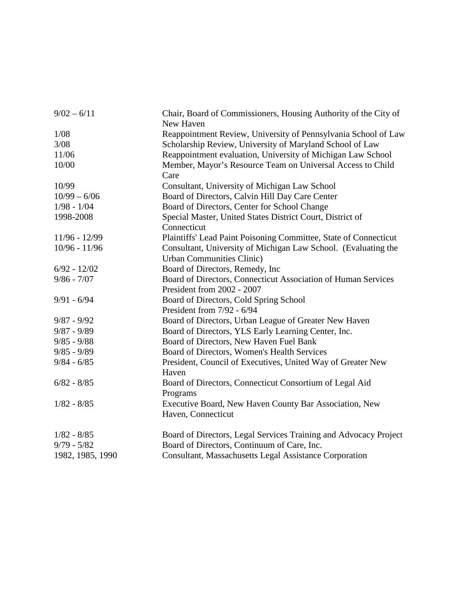| $9/02 - 6/11$    | Chair, Board of Commissioners, Housing Authority of the City of<br>New Haven |
|------------------|------------------------------------------------------------------------------|
| 1/08             | Reappointment Review, University of Pennsylvania School of Law               |
| 3/08             | Scholarship Review, University of Maryland School of Law                     |
| 11/06            | Reappointment evaluation, University of Michigan Law School                  |
| 10/00            | Member, Mayor's Resource Team on Universal Access to Child                   |
|                  | Care                                                                         |
| 10/99            | Consultant, University of Michigan Law School                                |
| $10/99 - 6/06$   | Board of Directors, Calvin Hill Day Care Center                              |
| $1/98 - 1/04$    | Board of Directors, Center for School Change                                 |
| 1998-2008        | Special Master, United States District Court, District of                    |
|                  | Connecticut                                                                  |
| $11/96 - 12/99$  | Plaintiffs' Lead Paint Poisoning Committee, State of Connecticut             |
| $10/96 - 11/96$  | Consultant, University of Michigan Law School. (Evaluating the               |
|                  | <b>Urban Communities Clinic)</b>                                             |
| $6/92 - 12/02$   | Board of Directors, Remedy, Inc.                                             |
| $9/86 - 7/07$    | Board of Directors, Connecticut Association of Human Services                |
|                  | President from 2002 - 2007                                                   |
| $9/91 - 6/94$    | Board of Directors, Cold Spring School                                       |
|                  | President from 7/92 - 6/94                                                   |
| $9/87 - 9/92$    | Board of Directors, Urban League of Greater New Haven                        |
| $9/87 - 9/89$    | Board of Directors, YLS Early Learning Center, Inc.                          |
| $9/85 - 9/88$    | Board of Directors, New Haven Fuel Bank                                      |
| $9/85 - 9/89$    | Board of Directors, Women's Health Services                                  |
| $9/84 - 6/85$    | President, Council of Executives, United Way of Greater New                  |
|                  | Haven                                                                        |
| $6/82 - 8/85$    | Board of Directors, Connecticut Consortium of Legal Aid                      |
|                  | Programs                                                                     |
| $1/82 - 8/85$    | Executive Board, New Haven County Bar Association, New                       |
|                  | Haven, Connecticut                                                           |
| $1/82 - 8/85$    | Board of Directors, Legal Services Training and Advocacy Project             |
| $9/79 - 5/82$    | Board of Directors, Continuum of Care, Inc.                                  |
| 1982, 1985, 1990 | <b>Consultant, Massachusetts Legal Assistance Corporation</b>                |
|                  |                                                                              |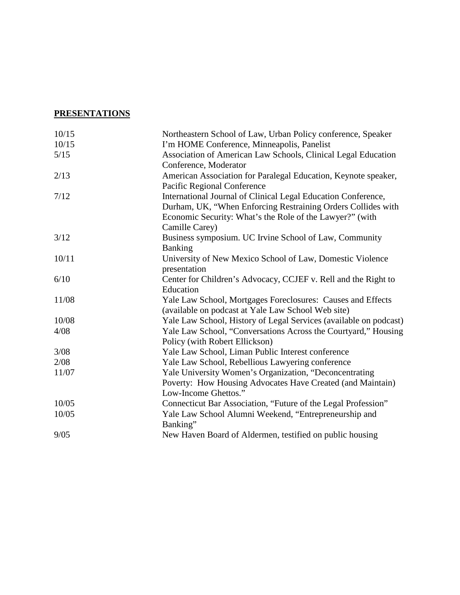# **PRESENTATIONS**

| 10/15 | Northeastern School of Law, Urban Policy conference, Speaker      |
|-------|-------------------------------------------------------------------|
| 10/15 | I'm HOME Conference, Minneapolis, Panelist                        |
| 5/15  | Association of American Law Schools, Clinical Legal Education     |
|       | Conference, Moderator                                             |
| 2/13  | American Association for Paralegal Education, Keynote speaker,    |
|       | Pacific Regional Conference                                       |
| 7/12  | International Journal of Clinical Legal Education Conference,     |
|       | Durham, UK, "When Enforcing Restraining Orders Collides with      |
|       | Economic Security: What's the Role of the Lawyer?" (with          |
|       | Camille Carey)                                                    |
| 3/12  | Business symposium. UC Irvine School of Law, Community            |
|       | <b>Banking</b>                                                    |
| 10/11 | University of New Mexico School of Law, Domestic Violence         |
|       | presentation                                                      |
| 6/10  | Center for Children's Advocacy, CCJEF v. Rell and the Right to    |
|       | Education                                                         |
| 11/08 | Yale Law School, Mortgages Foreclosures: Causes and Effects       |
|       | (available on podcast at Yale Law School Web site)                |
| 10/08 | Yale Law School, History of Legal Services (available on podcast) |
| 4/08  | Yale Law School, "Conversations Across the Courtyard," Housing    |
|       | Policy (with Robert Ellickson)                                    |
| 3/08  | Yale Law School, Liman Public Interest conference                 |
| 2/08  | Yale Law School, Rebellious Lawyering conference                  |
| 11/07 | Yale University Women's Organization, "Deconcentrating            |
|       | Poverty: How Housing Advocates Have Created (and Maintain)        |
|       | Low-Income Ghettos."                                              |
| 10/05 | Connecticut Bar Association, "Future of the Legal Profession"     |
| 10/05 | Yale Law School Alumni Weekend, "Entrepreneurship and<br>Banking" |
| 9/05  | New Haven Board of Aldermen, testified on public housing          |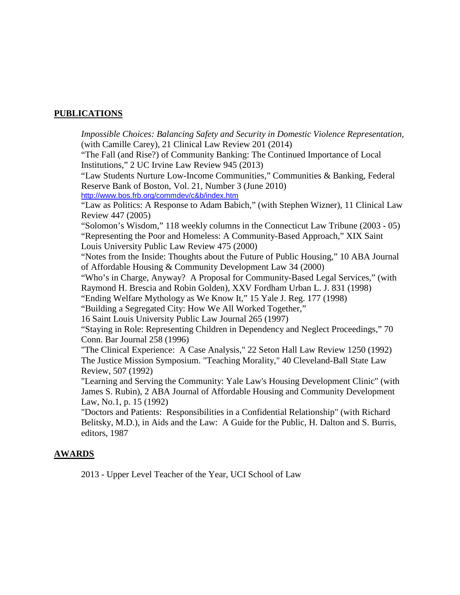## **PUBLICATIONS**

*Impossible Choices: Balancing Safety and Security in Domestic Violence Representation,*  (with Camille Carey), 21 Clinical Law Review 201 (2014) "The Fall (and Rise?) of Community Banking: The Continued Importance of Local Institutions," 2 UC Irvine Law Review 945 (2013) "Law Students Nurture Low-Income Communities," Communities & Banking, Federal Reserve Bank of Boston, Vol. 21, Number 3 (June 2010) <http://www.bos.frb.org/commdev/c&b/index.htm> "Law as Politics: A Response to Adam Babich," (with Stephen Wizner), 11 Clinical Law Review 447 (2005) "Solomon's Wisdom," 118 weekly columns in the Connecticut Law Tribune (2003 - 05) "Representing the Poor and Homeless: A Community-Based Approach," XIX Saint Louis University Public Law Review 475 (2000) "Notes from the Inside: Thoughts about the Future of Public Housing," 10 ABA Journal of Affordable Housing & Community Development Law 34 (2000) "Who's in Charge, Anyway? A Proposal for Community-Based Legal Services," (with Raymond H. Brescia and Robin Golden), XXV Fordham Urban L. J. 831 (1998) "Ending Welfare Mythology as We Know It," 15 Yale J. Reg. 177 (1998) "Building a Segregated City: How We All Worked Together," 16 Saint Louis University Public Law Journal 265 (1997) "Staying in Role: Representing Children in Dependency and Neglect Proceedings," 70 Conn. Bar Journal 258 (1996) "The Clinical Experience: A Case Analysis," 22 Seton Hall Law Review 1250 (1992) The Justice Mission Symposium. "Teaching Morality," 40 Cleveland-Ball State Law Review, 507 (1992) "Learning and Serving the Community: Yale Law's Housing Development Clinic" (with James S. Rubin), 2 ABA Journal of Affordable Housing and Community Development Law, No.1, p. 15 (1992) "Doctors and Patients: Responsibilities in a Confidential Relationship" (with Richard Belitsky, M.D.), in Aids and the Law: A Guide for the Public, H. Dalton and S. Burris, editors, 1987

#### **AWARDS**

2013 - Upper Level Teacher of the Year, UCI School of Law